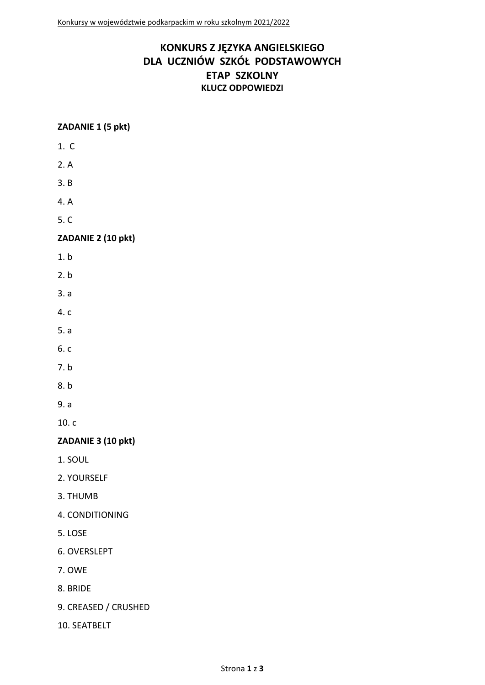# **KONKURS Z JĘZYKA ANGIELSKIEGO DLA UCZNIÓW SZKÓŁ PODSTAWOWYCH ETAP SZKOLNY KLUCZ ODPOWIEDZI**

### **ZADANIE 1 (5 pkt)**

- 1. C
- 2. A
- 3. B
- 4. A
- 5. C

# **ZADANIE 2 (10 pkt)**

- 1. b
- 2. b
- 3. a
- 4. c
- 5. a
- 6. c
- 7. b
- 8. b
- 9. a

10. c

# **ZADANIE 3 (10 pkt)**

- 1. SOUL
- 2. YOURSELF
- 3. THUMB
- 4. CONDITIONING
- 5. LOSE
- 6. OVERSLEPT
- 7. OWE
- 8. BRIDE
- 9. CREASED / CRUSHED
- 10. SEATBELT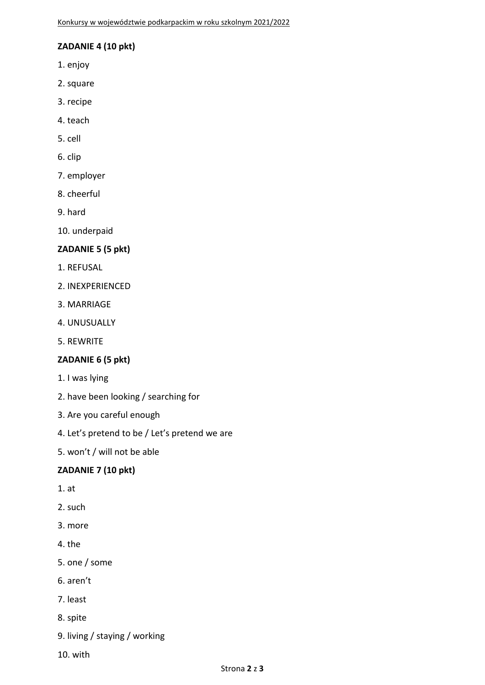### **ZADANIE 4 (10 pkt)**

- 1. enjoy
- 2. square
- 3. recipe
- 4. teach
- 5. cell
- 6. clip
- 7. employer
- 8. cheerful
- 9. hard
- 10. underpaid

#### **ZADANIE 5 (5 pkt)**

- 1. REFUSAL
- 2. INEXPERIENCED
- 3. MARRIAGE
- 4. UNUSUALLY
- 5. REWRITE

#### **ZADANIE 6 (5 pkt)**

- 1. I was lying
- 2. have been looking / searching for
- 3. Are you careful enough
- 4. Let's pretend to be / Let's pretend we are
- 5. won't / will not be able

## **ZADANIE 7 (10 pkt)**

- 1. at
- 2. such
- 3. more
- 4. the
- 5. one / some
- 6. aren't
- 7. least
- 8. spite
- 9. living / staying / working
- 10. with